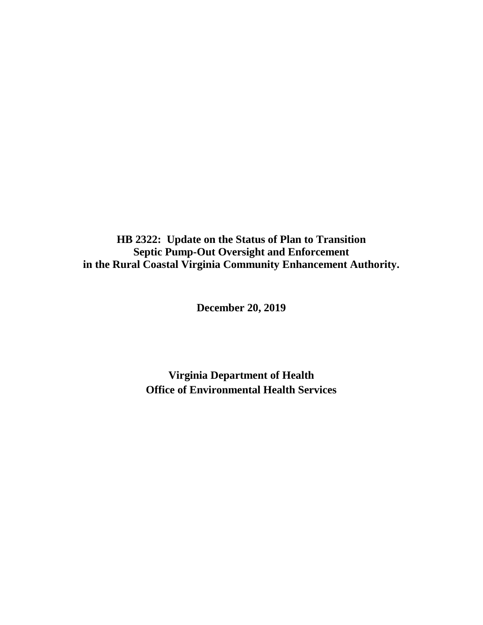**HB 2322: Update on the Status of Plan to Transition Septic Pump-Out Oversight and Enforcement in the Rural Coastal Virginia Community Enhancement Authority.**

**December 20, 2019**

**Virginia Department of Health Office of Environmental Health Services**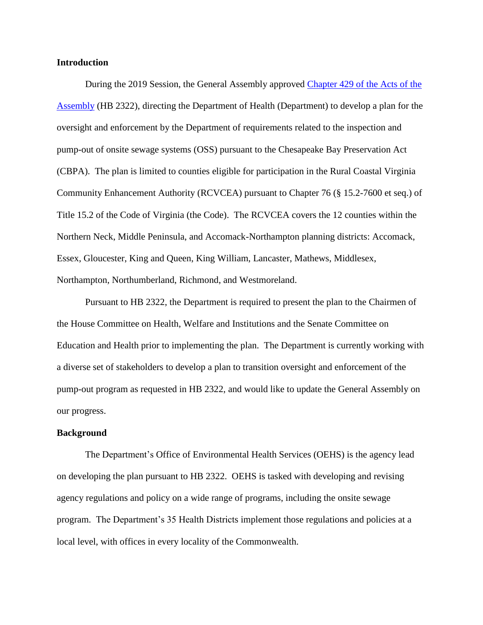## **Introduction**

During the 2019 Session, the General Assembly approved Chapter 429 [of the Acts of the](http://leg1.state.va.us/cgi-bin/legp504.exe?191+ful+CHAP0429)  [Assembly](http://leg1.state.va.us/cgi-bin/legp504.exe?191+ful+CHAP0429) (HB 2322), directing the Department of Health (Department) to develop a plan for the oversight and enforcement by the Department of requirements related to the inspection and pump-out of onsite sewage systems (OSS) pursuant to the Chesapeake Bay Preservation Act (CBPA). The plan is limited to counties eligible for participation in the Rural Coastal Virginia Community Enhancement Authority (RCVCEA) pursuant to Chapter 76 (§ 15.2-7600 et seq.) of Title 15.2 of the Code of Virginia (the Code). The RCVCEA covers the 12 counties within the Northern Neck, Middle Peninsula, and Accomack-Northampton planning districts: Accomack, Essex, Gloucester, King and Queen, King William, Lancaster, Mathews, Middlesex, Northampton, Northumberland, Richmond, and Westmoreland.

Pursuant to HB 2322, the Department is required to present the plan to the Chairmen of the House Committee on Health, Welfare and Institutions and the Senate Committee on Education and Health prior to implementing the plan. The Department is currently working with a diverse set of stakeholders to develop a plan to transition oversight and enforcement of the pump-out program as requested in HB 2322, and would like to update the General Assembly on our progress.

## **Background**

The Department's Office of Environmental Health Services (OEHS) is the agency lead on developing the plan pursuant to HB 2322. OEHS is tasked with developing and revising agency regulations and policy on a wide range of programs, including the onsite sewage program. The Department's 35 Health Districts implement those regulations and policies at a local level, with offices in every locality of the Commonwealth.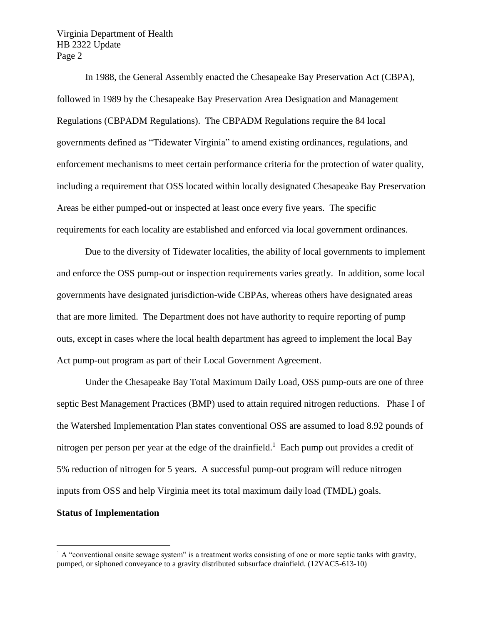In 1988, the General Assembly enacted the Chesapeake Bay Preservation Act (CBPA), followed in 1989 by the Chesapeake Bay Preservation Area Designation and Management Regulations (CBPADM Regulations). The CBPADM Regulations require the 84 local governments defined as "Tidewater Virginia" to amend existing ordinances, regulations, and enforcement mechanisms to meet certain performance criteria for the protection of water quality, including a requirement that OSS located within locally designated Chesapeake Bay Preservation Areas be either pumped-out or inspected at least once every five years. The specific requirements for each locality are established and enforced via local government ordinances.

Due to the diversity of Tidewater localities, the ability of local governments to implement and enforce the OSS pump-out or inspection requirements varies greatly. In addition, some local governments have designated jurisdiction-wide CBPAs, whereas others have designated areas that are more limited. The Department does not have authority to require reporting of pump outs, except in cases where the local health department has agreed to implement the local Bay Act pump-out program as part of their Local Government Agreement.

Under the Chesapeake Bay Total Maximum Daily Load, OSS pump-outs are one of three septic Best Management Practices (BMP) used to attain required nitrogen reductions. Phase I of the Watershed Implementation Plan states conventional OSS are assumed to load 8.92 pounds of nitrogen per person per year at the edge of the drainfield.<sup>1</sup> Each pump out provides a credit of 5% reduction of nitrogen for 5 years. A successful pump-out program will reduce nitrogen inputs from OSS and help Virginia meet its total maximum daily load (TMDL) goals.

## **Status of Implementation**

 $\overline{a}$ 

 $1 \text{ A}$  "conventional onsite sewage system" is a treatment works consisting of one or more septic tanks with gravity, pumped, or siphoned conveyance to a gravity distributed subsurface drainfield. (12VAC5-613-10)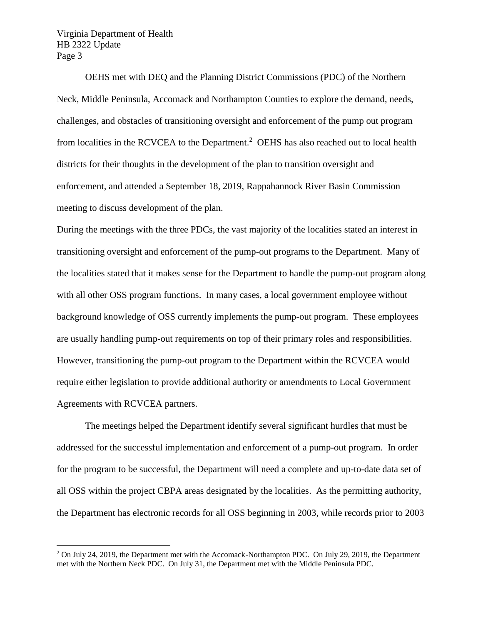$\overline{a}$ 

OEHS met with DEQ and the Planning District Commissions (PDC) of the Northern Neck, Middle Peninsula, Accomack and Northampton Counties to explore the demand, needs, challenges, and obstacles of transitioning oversight and enforcement of the pump out program from localities in the RCVCEA to the Department.<sup>2</sup> OEHS has also reached out to local health districts for their thoughts in the development of the plan to transition oversight and enforcement, and attended a September 18, 2019, Rappahannock River Basin Commission meeting to discuss development of the plan.

During the meetings with the three PDCs, the vast majority of the localities stated an interest in transitioning oversight and enforcement of the pump-out programs to the Department. Many of the localities stated that it makes sense for the Department to handle the pump-out program along with all other OSS program functions. In many cases, a local government employee without background knowledge of OSS currently implements the pump-out program. These employees are usually handling pump-out requirements on top of their primary roles and responsibilities. However, transitioning the pump-out program to the Department within the RCVCEA would require either legislation to provide additional authority or amendments to Local Government Agreements with RCVCEA partners.

The meetings helped the Department identify several significant hurdles that must be addressed for the successful implementation and enforcement of a pump-out program. In order for the program to be successful, the Department will need a complete and up-to-date data set of all OSS within the project CBPA areas designated by the localities. As the permitting authority, the Department has electronic records for all OSS beginning in 2003, while records prior to 2003

<sup>&</sup>lt;sup>2</sup> On July 24, 2019, the Department met with the Accomack-Northampton PDC. On July 29, 2019, the Department met with the Northern Neck PDC. On July 31, the Department met with the Middle Peninsula PDC.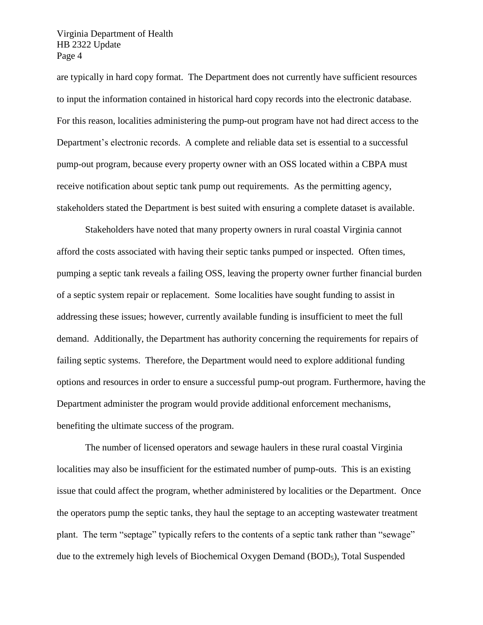are typically in hard copy format. The Department does not currently have sufficient resources to input the information contained in historical hard copy records into the electronic database. For this reason, localities administering the pump-out program have not had direct access to the Department's electronic records. A complete and reliable data set is essential to a successful pump-out program, because every property owner with an OSS located within a CBPA must receive notification about septic tank pump out requirements. As the permitting agency, stakeholders stated the Department is best suited with ensuring a complete dataset is available.

Stakeholders have noted that many property owners in rural coastal Virginia cannot afford the costs associated with having their septic tanks pumped or inspected. Often times, pumping a septic tank reveals a failing OSS, leaving the property owner further financial burden of a septic system repair or replacement. Some localities have sought funding to assist in addressing these issues; however, currently available funding is insufficient to meet the full demand. Additionally, the Department has authority concerning the requirements for repairs of failing septic systems. Therefore, the Department would need to explore additional funding options and resources in order to ensure a successful pump-out program. Furthermore, having the Department administer the program would provide additional enforcement mechanisms, benefiting the ultimate success of the program.

The number of licensed operators and sewage haulers in these rural coastal Virginia localities may also be insufficient for the estimated number of pump-outs. This is an existing issue that could affect the program, whether administered by localities or the Department. Once the operators pump the septic tanks, they haul the septage to an accepting wastewater treatment plant. The term "septage" typically refers to the contents of a septic tank rather than "sewage" due to the extremely high levels of Biochemical Oxygen Demand (BOD5), Total Suspended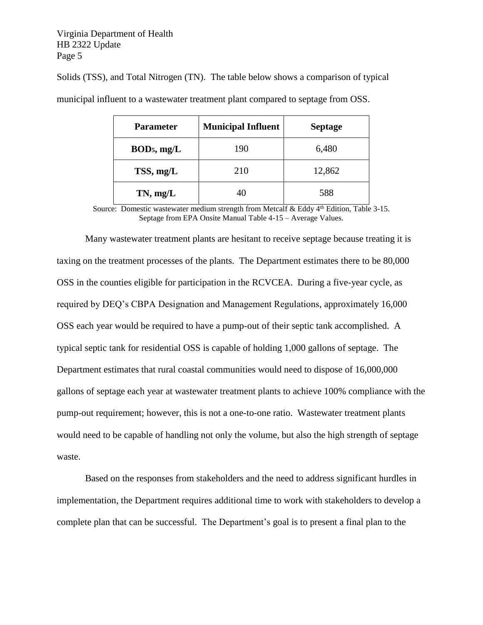| <b>Parameter</b>        | <b>Municipal Influent</b> | <b>Septage</b> |
|-------------------------|---------------------------|----------------|
| BOD <sub>5</sub> , mg/L | 190                       | 6,480          |
| TSS, mg/L               | 210                       | 12,862         |
| $TN$ , mg/L             | 40                        | 588            |

Solids (TSS), and Total Nitrogen (TN). The table below shows a comparison of typical

municipal influent to a wastewater treatment plant compared to septage from OSS.

Source: Domestic wastewater medium strength from Metcalf & Eddy 4<sup>th</sup> Edition, Table 3-15. Septage from EPA Onsite Manual Table 4-15 – Average Values.

Many wastewater treatment plants are hesitant to receive septage because treating it is taxing on the treatment processes of the plants. The Department estimates there to be 80,000 OSS in the counties eligible for participation in the RCVCEA. During a five-year cycle, as required by DEQ's CBPA Designation and Management Regulations, approximately 16,000 OSS each year would be required to have a pump-out of their septic tank accomplished. A typical septic tank for residential OSS is capable of holding 1,000 gallons of septage. The Department estimates that rural coastal communities would need to dispose of 16,000,000 gallons of septage each year at wastewater treatment plants to achieve 100% compliance with the pump-out requirement; however, this is not a one-to-one ratio. Wastewater treatment plants would need to be capable of handling not only the volume, but also the high strength of septage waste.

Based on the responses from stakeholders and the need to address significant hurdles in implementation, the Department requires additional time to work with stakeholders to develop a complete plan that can be successful. The Department's goal is to present a final plan to the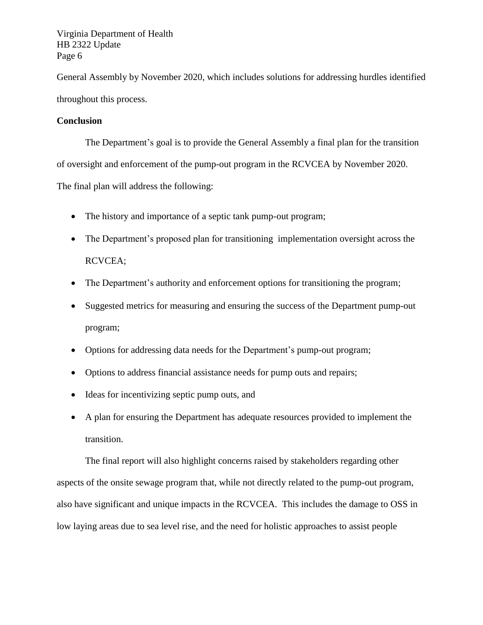General Assembly by November 2020, which includes solutions for addressing hurdles identified throughout this process.

## **Conclusion**

The Department's goal is to provide the General Assembly a final plan for the transition of oversight and enforcement of the pump-out program in the RCVCEA by November 2020. The final plan will address the following:

- The history and importance of a septic tank pump-out program;
- The Department's proposed plan for transitioning implementation oversight across the RCVCEA;
- The Department's authority and enforcement options for transitioning the program;
- Suggested metrics for measuring and ensuring the success of the Department pump-out program;
- Options for addressing data needs for the Department's pump-out program;
- Options to address financial assistance needs for pump outs and repairs;
- Ideas for incentivizing septic pump outs, and
- A plan for ensuring the Department has adequate resources provided to implement the transition.

The final report will also highlight concerns raised by stakeholders regarding other aspects of the onsite sewage program that, while not directly related to the pump-out program, also have significant and unique impacts in the RCVCEA. This includes the damage to OSS in low laying areas due to sea level rise, and the need for holistic approaches to assist people